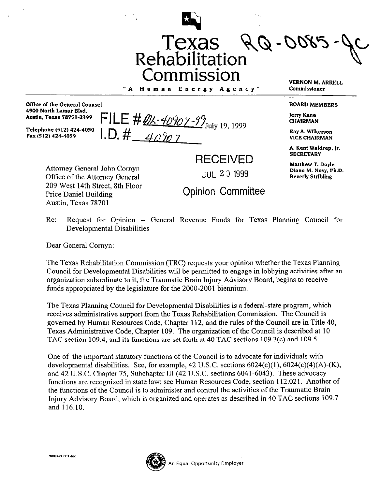

## Texas Rehabilitation Commission <sub>VERNON M. ARRELL</sub>

**"A Human Energy Agency" Commissioner** 

**Office of the General Counsel BOARD MEMBERS BOARD MEMBERS 4900 North Lamar Blvd.** 

**Telephone (512) 424-4050** 

Austin, Texas 78751-2399  $~\mathsf{FILE} \#\mathscr{M}_\text{-}\text{-}\mathscr{D}_\text{\it 207--99}$ Tuly 19, 1999 Fax (512) 424-4059 **I.D.**  $\#$  44090 7

RECEIVED

**Opinion Committee** 

**lerry Kane CHAIRMAN** 

**Ray A. Wllkerson VICE CHAIRMAN** 

**A. Kent Waldrep. jr. SECRETARY** 

**Matthew T. Doyle Diane M. Navy, Ph.D. Beverly Stribling** 

Attorney General John Comyn Office of the Attorney General  $JUL$  2 3 1999 209 West 14th Street, 8th Floor Price Daniel Building Austin, Texas 78701

Re: Request for Opinion -- General Revenue Funds for Texas Planning Council for Developmental Disabilities

Dear General Comyn:

The Texas Rehabilitation Commission (TRC) requests your opinion whether the Texas Planning Council for Developmental Disabilities will be permitted to engage in lobbying activities after an organization subordinate to it, the Traumatic Brain Injury Advisory Board, begins to receive funds appropriated by the legislature for the 2000-2001 biennium.

The Texas Planning Council for Developmental Disabilities is a federal-state program, which receives administrative support from the Texas Rehabilitation Commission. The Council is governed by Human Resources Code, Chapter 112, and the rules of the Council are in Title 40, Texas Administrative Code, Chapter 109. The organization of the Council is described at 10 TAC section 109.4, and its functions are set forth at 40 TAC sections 109.3(c) and 109.5.

One of the important statutory functions of the Council is to advocate for individuals with developmental disabilities. See, for example, 42 U.S.C. sections  $6024(c)(1)$ ,  $6024(c)(4)(A)-(K)$ , and 42 USC. Chapter 75, Subchapter III (42 U.S.C. sections 6041-6043). These advocacy functions are recognized in state law; see Human Resources Code, section 112.021. Another of the functions of the Council is to administer and control the activities of the Traumatic Brain Injury Advisory Board, which is organized and operates as described in 40 TAC sections 109.7 and 116.10.